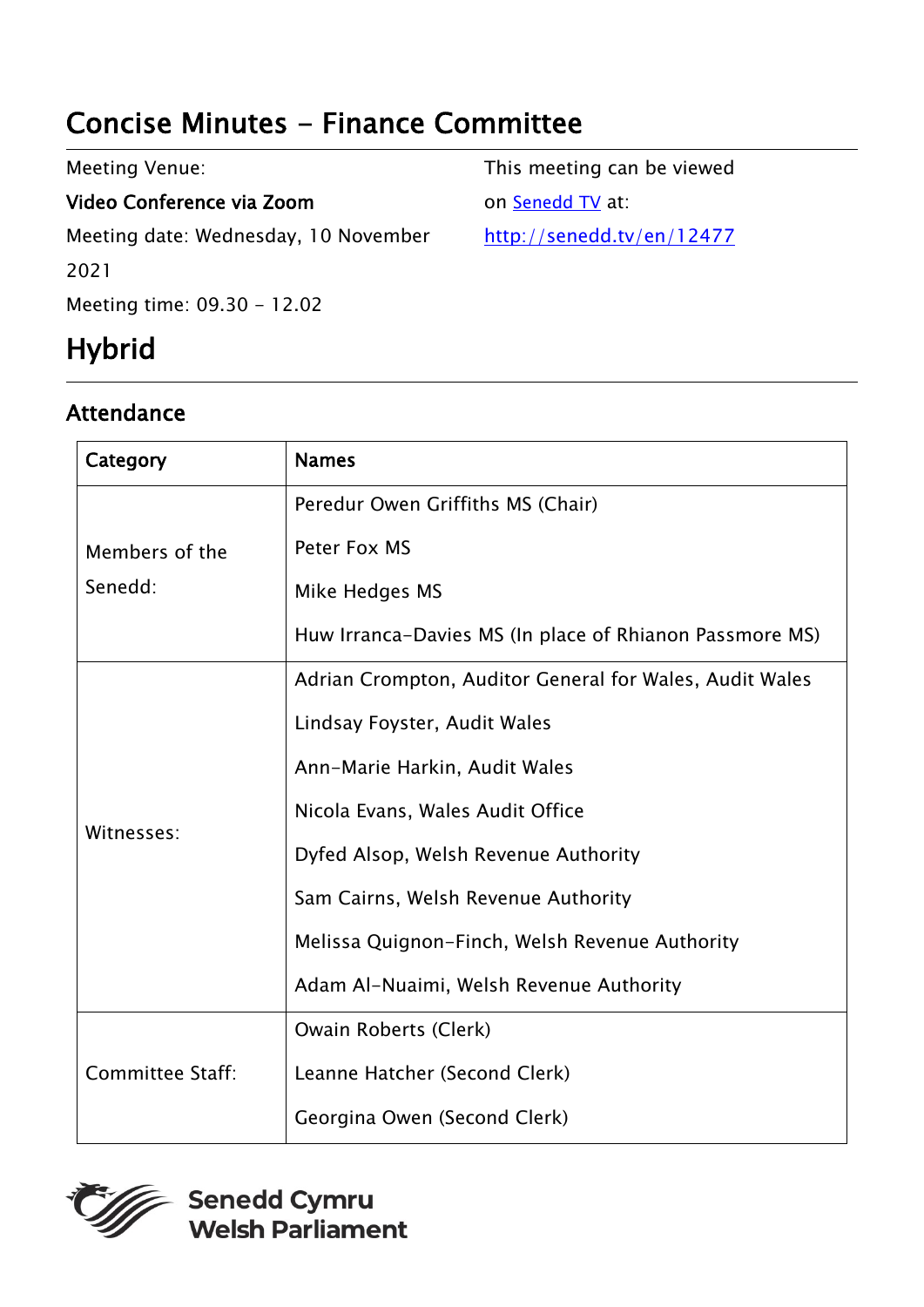# Concise Minutes - Finance Committee

| <b>Meeting Venue:</b>                | This meeting can be viewed |
|--------------------------------------|----------------------------|
| Video Conference via Zoom            | on Senedd TV at:           |
| Meeting date: Wednesday, 10 November | http://senedd.tv/en/12477  |
| 2021                                 |                            |
| Meeting time: 09.30 - 12.02          |                            |

# Hybrid

### Attendance

| Category                | <b>Names</b>                                            |
|-------------------------|---------------------------------------------------------|
|                         | Peredur Owen Griffiths MS (Chair)                       |
| Members of the          | Peter Fox MS                                            |
| Senedd:                 | Mike Hedges MS                                          |
|                         | Huw Irranca-Davies MS (In place of Rhianon Passmore MS) |
|                         | Adrian Crompton, Auditor General for Wales, Audit Wales |
|                         | Lindsay Foyster, Audit Wales                            |
|                         | Ann-Marie Harkin, Audit Wales                           |
| Witnesses:              | Nicola Evans, Wales Audit Office                        |
|                         | Dyfed Alsop, Welsh Revenue Authority                    |
|                         | Sam Cairns, Welsh Revenue Authority                     |
|                         | Melissa Quignon-Finch, Welsh Revenue Authority          |
|                         | Adam Al-Nuaimi, Welsh Revenue Authority                 |
|                         | Owain Roberts (Clerk)                                   |
| <b>Committee Staff:</b> | Leanne Hatcher (Second Clerk)                           |
|                         | Georgina Owen (Second Clerk)                            |

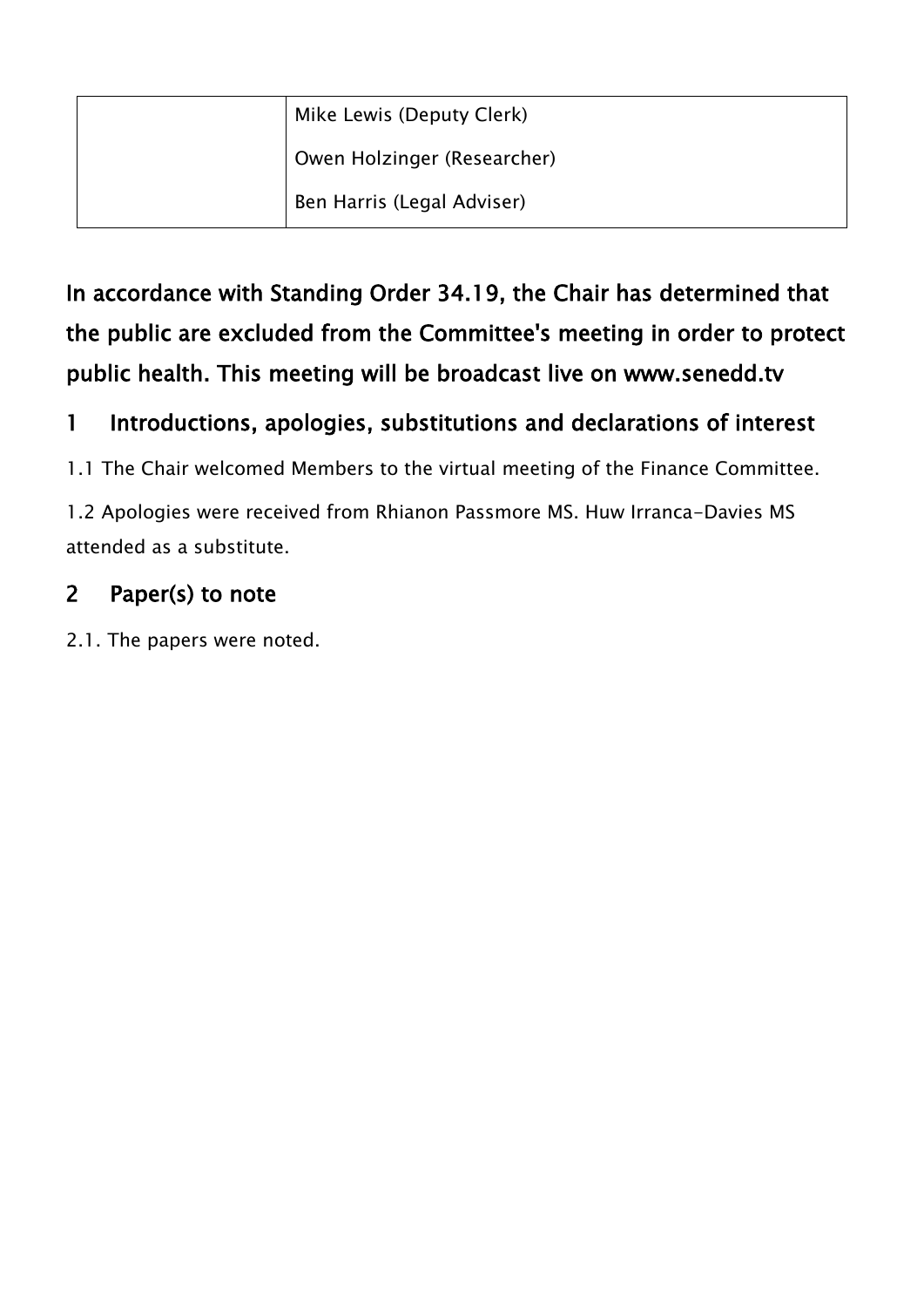|  | Mike Lewis (Deputy Clerk)   |
|--|-----------------------------|
|  | Owen Holzinger (Researcher) |
|  | Ben Harris (Legal Adviser)  |

In accordance with Standing Order 34.19, the Chair has determined that the public are excluded from the Committee's meeting in order to protect public health. This meeting will be broadcast live on www.senedd.tv

#### 1 Introductions, apologies, substitutions and declarations of interest

1.1 The Chair welcomed Members to the virtual meeting of the Finance Committee.

1.2 Apologies were received from Rhianon Passmore MS. Huw Irranca-Davies MS attended as a substitute.

#### 2 Paper(s) to note

2.1. The papers were noted.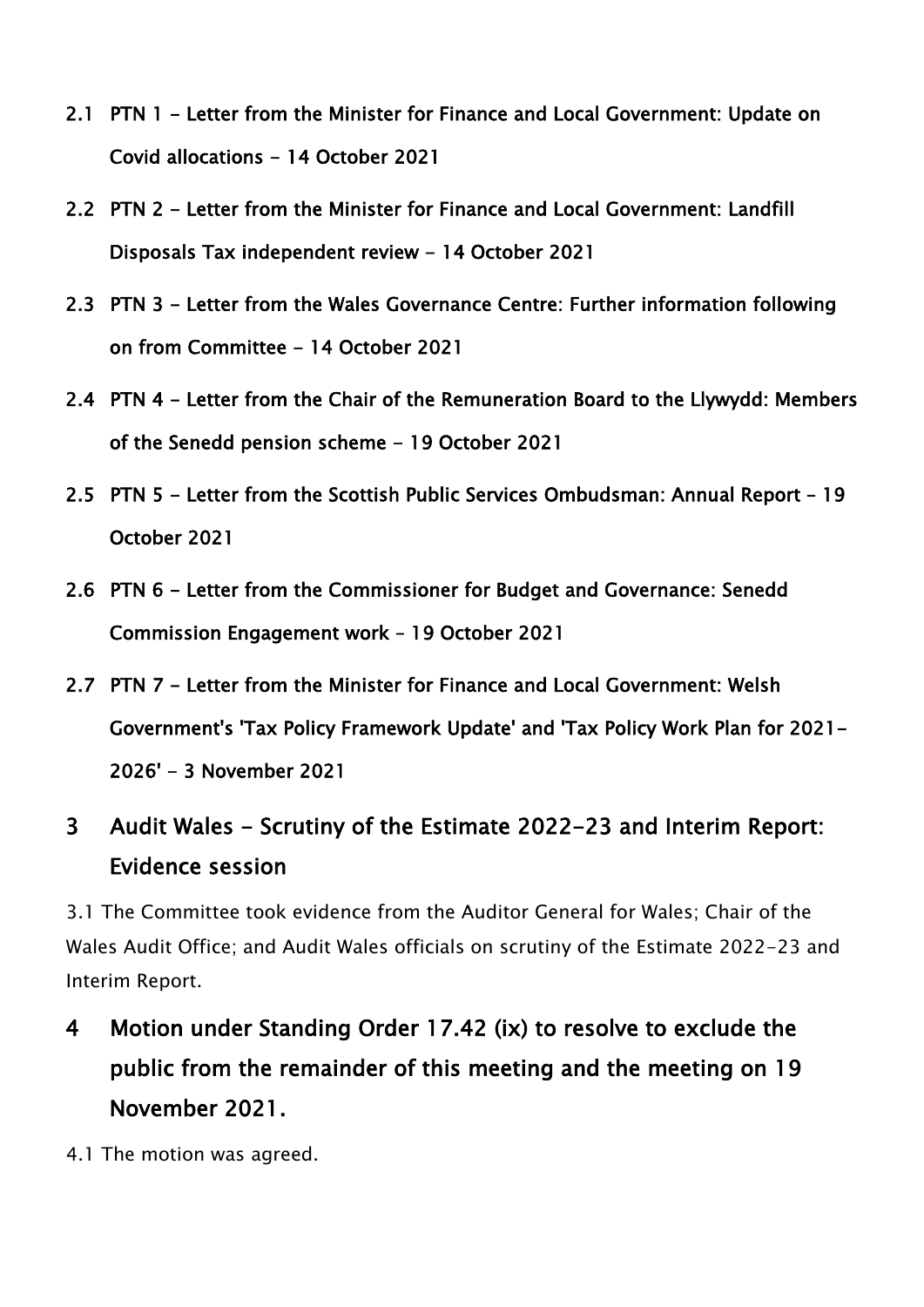- 2.1 PTN 1 Letter from the Minister for Finance and Local Government: Update on Covid allocations - 14 October 2021
- 2.2 PTN 2 Letter from the Minister for Finance and Local Government: Landfill Disposals Tax independent review - 14 October 2021
- 2.3 PTN 3 Letter from the Wales Governance Centre: Further information following on from Committee - 14 October 2021
- 2.4 PTN 4 Letter from the Chair of the Remuneration Board to the Llywydd: Members of the Senedd pension scheme - 19 October 2021
- 2.5 PTN 5 Letter from the Scottish Public Services Ombudsman: Annual Report 19 October 2021
- 2.6 PTN 6 Letter from the Commissioner for Budget and Governance: Senedd Commission Engagement work – 19 October 2021
- 2.7 PTN 7 Letter from the Minister for Finance and Local Government: Welsh Government's 'Tax Policy Framework Update' and 'Tax Policy Work Plan for 2021- 2026' - 3 November 2021

### 3 Audit Wales - Scrutiny of the Estimate 2022-23 and Interim Report: Evidence session

3.1 The Committee took evidence from the Auditor General for Wales; Chair of the Wales Audit Office; and Audit Wales officials on scrutiny of the Estimate 2022-23 and Interim Report.

- 4 Motion under Standing Order 17.42 (ix) to resolve to exclude the public from the remainder of this meeting and the meeting on 19 November 2021.
- 4.1 The motion was agreed.